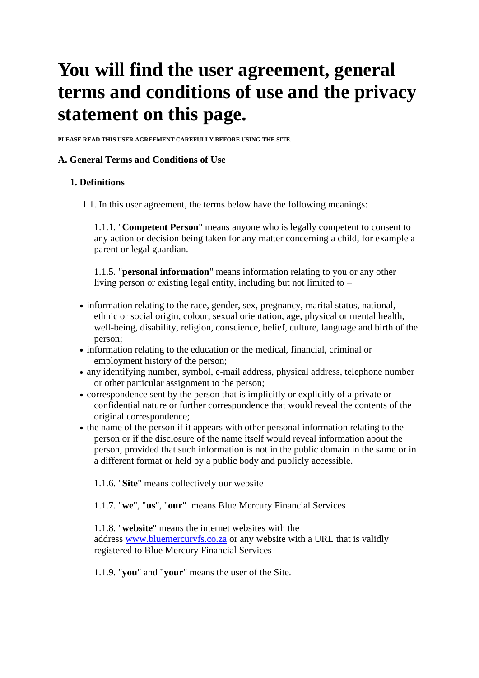# **You will find the user agreement, general terms and conditions of use and the privacy statement on this page.**

**PLEASE READ THIS USER AGREEMENT CAREFULLY BEFORE USING THE SITE.**

## **A. General Terms and Conditions of Use**

## **1. Definitions**

1.1. In this user agreement, the terms below have the following meanings:

1.1.1. "**Competent Person**" means anyone who is legally competent to consent to any action or decision being taken for any matter concerning a child, for example a parent or legal guardian.

1.1.5. "**personal information**" means information relating to you or any other living person or existing legal entity, including but not limited to –

- information relating to the race, gender, sex, pregnancy, marital status, national, ethnic or social origin, colour, sexual orientation, age, physical or mental health, well-being, disability, religion, conscience, belief, culture, language and birth of the person;
- information relating to the education or the medical, financial, criminal or employment history of the person;
- any identifying number, symbol, e-mail address, physical address, telephone number or other particular assignment to the person;
- correspondence sent by the person that is implicitly or explicitly of a private or confidential nature or further correspondence that would reveal the contents of the original correspondence;
- the name of the person if it appears with other personal information relating to the person or if the disclosure of the name itself would reveal information about the person, provided that such information is not in the public domain in the same or in a different format or held by a public body and publicly accessible.
	- 1.1.6. "**Site**" means collectively our website
	- 1.1.7. "**we**", "**us**", "**our**" means Blue Mercury Financial Services

1.1.8. "**website**" means the internet websites with the address [www.bluemercuryfs.co.za](http://www.bluemercuryfs.co.za/) or any website with a URL that is validly registered to Blue Mercury Financial Services

1.1.9. "**you**" and "**your**" means the user of the Site.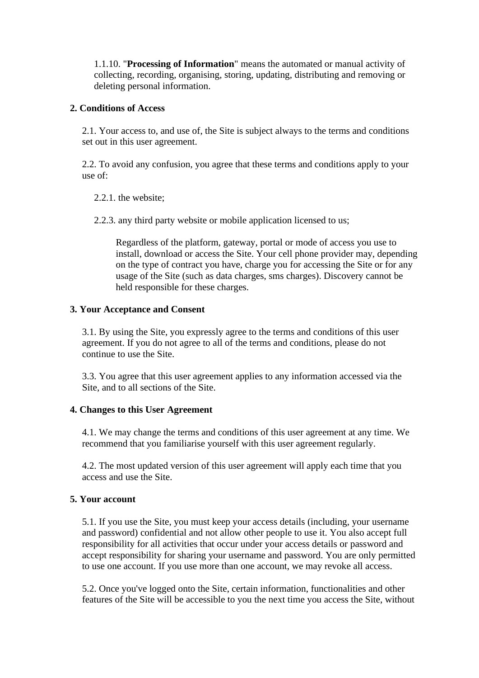1.1.10. "**Processing of Information**" means the automated or manual activity of collecting, recording, organising, storing, updating, distributing and removing or deleting personal information.

## **2. Conditions of Access**

2.1. Your access to, and use of, the Site is subject always to the terms and conditions set out in this user agreement.

2.2. To avoid any confusion, you agree that these terms and conditions apply to your use of:

2.2.1. the website;

2.2.3. any third party website or mobile application licensed to us;

Regardless of the platform, gateway, portal or mode of access you use to install, download or access the Site. Your cell phone provider may, depending on the type of contract you have, charge you for accessing the Site or for any usage of the Site (such as data charges, sms charges). Discovery cannot be held responsible for these charges.

## **3. Your Acceptance and Consent**

3.1. By using the Site, you expressly agree to the terms and conditions of this user agreement. If you do not agree to all of the terms and conditions, please do not continue to use the Site.

3.3. You agree that this user agreement applies to any information accessed via the Site, and to all sections of the Site.

## **4. Changes to this User Agreement**

4.1. We may change the terms and conditions of this user agreement at any time. We recommend that you familiarise yourself with this user agreement regularly.

4.2. The most updated version of this user agreement will apply each time that you access and use the Site.

## **5. Your account**

5.1. If you use the Site, you must keep your access details (including, your username and password) confidential and not allow other people to use it. You also accept full responsibility for all activities that occur under your access details or password and accept responsibility for sharing your username and password. You are only permitted to use one account. If you use more than one account, we may revoke all access.

5.2. Once you've logged onto the Site, certain information, functionalities and other features of the Site will be accessible to you the next time you access the Site, without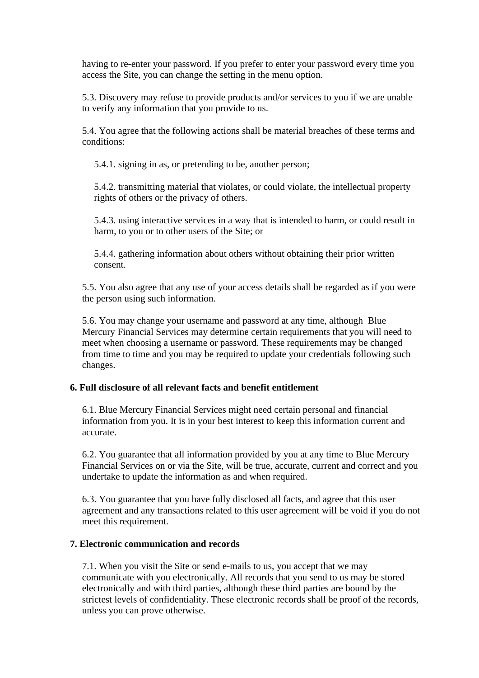having to re-enter your password. If you prefer to enter your password every time you access the Site, you can change the setting in the menu option.

5.3. Discovery may refuse to provide products and/or services to you if we are unable to verify any information that you provide to us.

5.4. You agree that the following actions shall be material breaches of these terms and conditions:

5.4.1. signing in as, or pretending to be, another person;

5.4.2. transmitting material that violates, or could violate, the intellectual property rights of others or the privacy of others.

5.4.3. using interactive services in a way that is intended to harm, or could result in harm, to you or to other users of the Site; or

5.4.4. gathering information about others without obtaining their prior written consent.

5.5. You also agree that any use of your access details shall be regarded as if you were the person using such information.

5.6. You may change your username and password at any time, although Blue Mercury Financial Services may determine certain requirements that you will need to meet when choosing a username or password. These requirements may be changed from time to time and you may be required to update your credentials following such changes.

## **6. Full disclosure of all relevant facts and benefit entitlement**

6.1. Blue Mercury Financial Services might need certain personal and financial information from you. It is in your best interest to keep this information current and accurate.

6.2. You guarantee that all information provided by you at any time to Blue Mercury Financial Services on or via the Site, will be true, accurate, current and correct and you undertake to update the information as and when required.

6.3. You guarantee that you have fully disclosed all facts, and agree that this user agreement and any transactions related to this user agreement will be void if you do not meet this requirement.

#### **7. Electronic communication and records**

7.1. When you visit the Site or send e-mails to us, you accept that we may communicate with you electronically. All records that you send to us may be stored electronically and with third parties, although these third parties are bound by the strictest levels of confidentiality. These electronic records shall be proof of the records, unless you can prove otherwise.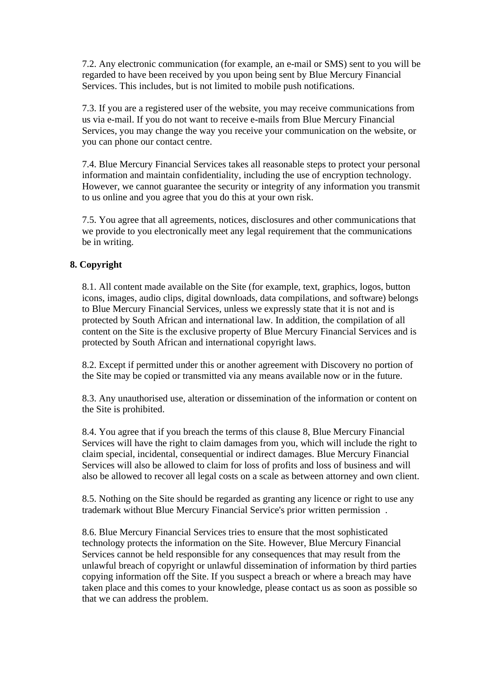7.2. Any electronic communication (for example, an e-mail or SMS) sent to you will be regarded to have been received by you upon being sent by Blue Mercury Financial Services. This includes, but is not limited to mobile push notifications.

7.3. If you are a registered user of the website, you may receive communications from us via e-mail. If you do not want to receive e-mails from Blue Mercury Financial Services, you may change the way you receive your communication on the website, or you can phone our contact centre.

7.4. Blue Mercury Financial Services takes all reasonable steps to protect your personal information and maintain confidentiality, including the use of encryption technology. However, we cannot guarantee the security or integrity of any information you transmit to us online and you agree that you do this at your own risk.

7.5. You agree that all agreements, notices, disclosures and other communications that we provide to you electronically meet any legal requirement that the communications be in writing.

# **8. Copyright**

8.1. All content made available on the Site (for example, text, graphics, logos, button icons, images, audio clips, digital downloads, data compilations, and software) belongs to Blue Mercury Financial Services, unless we expressly state that it is not and is protected by South African and international law. In addition, the compilation of all content on the Site is the exclusive property of Blue Mercury Financial Services and is protected by South African and international copyright laws.

8.2. Except if permitted under this or another agreement with Discovery no portion of the Site may be copied or transmitted via any means available now or in the future.

8.3. Any unauthorised use, alteration or dissemination of the information or content on the Site is prohibited.

8.4. You agree that if you breach the terms of this clause 8, Blue Mercury Financial Services will have the right to claim damages from you, which will include the right to claim special, incidental, consequential or indirect damages. Blue Mercury Financial Services will also be allowed to claim for loss of profits and loss of business and will also be allowed to recover all legal costs on a scale as between attorney and own client.

8.5. Nothing on the Site should be regarded as granting any licence or right to use any trademark without Blue Mercury Financial Service's prior written permission .

8.6. Blue Mercury Financial Services tries to ensure that the most sophisticated technology protects the information on the Site. However, Blue Mercury Financial Services cannot be held responsible for any consequences that may result from the unlawful breach of copyright or unlawful dissemination of information by third parties copying information off the Site. If you suspect a breach or where a breach may have taken place and this comes to your knowledge, please contact us as soon as possible so that we can address the problem.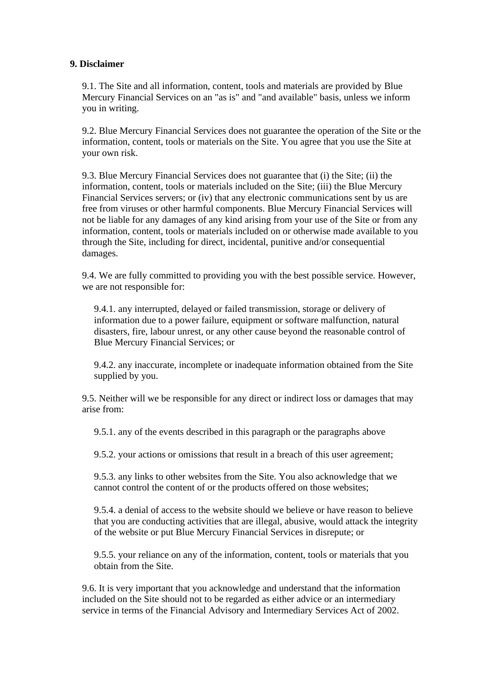## **9. Disclaimer**

9.1. The Site and all information, content, tools and materials are provided by Blue Mercury Financial Services on an "as is" and "and available" basis, unless we inform you in writing.

9.2. Blue Mercury Financial Services does not guarantee the operation of the Site or the information, content, tools or materials on the Site. You agree that you use the Site at your own risk.

9.3. Blue Mercury Financial Services does not guarantee that (i) the Site; (ii) the information, content, tools or materials included on the Site; (iii) the Blue Mercury Financial Services servers; or (iv) that any electronic communications sent by us are free from viruses or other harmful components. Blue Mercury Financial Services will not be liable for any damages of any kind arising from your use of the Site or from any information, content, tools or materials included on or otherwise made available to you through the Site, including for direct, incidental, punitive and/or consequential damages.

9.4. We are fully committed to providing you with the best possible service. However, we are not responsible for:

9.4.1. any interrupted, delayed or failed transmission, storage or delivery of information due to a power failure, equipment or software malfunction, natural disasters, fire, labour unrest, or any other cause beyond the reasonable control of Blue Mercury Financial Services; or

9.4.2. any inaccurate, incomplete or inadequate information obtained from the Site supplied by you.

9.5. Neither will we be responsible for any direct or indirect loss or damages that may arise from:

9.5.1. any of the events described in this paragraph or the paragraphs above

9.5.2. your actions or omissions that result in a breach of this user agreement;

9.5.3. any links to other websites from the Site. You also acknowledge that we cannot control the content of or the products offered on those websites;

9.5.4. a denial of access to the website should we believe or have reason to believe that you are conducting activities that are illegal, abusive, would attack the integrity of the website or put Blue Mercury Financial Services in disrepute; or

9.5.5. your reliance on any of the information, content, tools or materials that you obtain from the Site.

9.6. It is very important that you acknowledge and understand that the information included on the Site should not to be regarded as either advice or an intermediary service in terms of the Financial Advisory and Intermediary Services Act of 2002.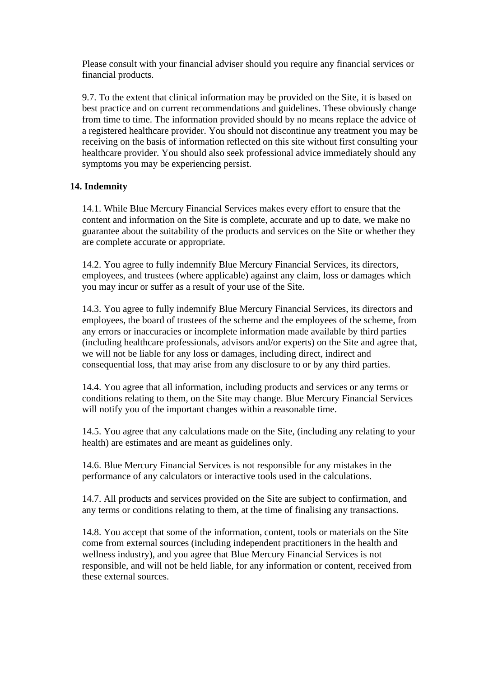Please consult with your financial adviser should you require any financial services or financial products.

9.7. To the extent that clinical information may be provided on the Site, it is based on best practice and on current recommendations and guidelines. These obviously change from time to time. The information provided should by no means replace the advice of a registered healthcare provider. You should not discontinue any treatment you may be receiving on the basis of information reflected on this site without first consulting your healthcare provider. You should also seek professional advice immediately should any symptoms you may be experiencing persist.

## **14. Indemnity**

14.1. While Blue Mercury Financial Services makes every effort to ensure that the content and information on the Site is complete, accurate and up to date, we make no guarantee about the suitability of the products and services on the Site or whether they are complete accurate or appropriate.

14.2. You agree to fully indemnify Blue Mercury Financial Services, its directors, employees, and trustees (where applicable) against any claim, loss or damages which you may incur or suffer as a result of your use of the Site.

14.3. You agree to fully indemnify Blue Mercury Financial Services, its directors and employees, the board of trustees of the scheme and the employees of the scheme, from any errors or inaccuracies or incomplete information made available by third parties (including healthcare professionals, advisors and/or experts) on the Site and agree that, we will not be liable for any loss or damages, including direct, indirect and consequential loss, that may arise from any disclosure to or by any third parties.

14.4. You agree that all information, including products and services or any terms or conditions relating to them, on the Site may change. Blue Mercury Financial Services will notify you of the important changes within a reasonable time.

14.5. You agree that any calculations made on the Site, (including any relating to your health) are estimates and are meant as guidelines only.

14.6. Blue Mercury Financial Services is not responsible for any mistakes in the performance of any calculators or interactive tools used in the calculations.

14.7. All products and services provided on the Site are subject to confirmation, and any terms or conditions relating to them, at the time of finalising any transactions.

14.8. You accept that some of the information, content, tools or materials on the Site come from external sources (including independent practitioners in the health and wellness industry), and you agree that Blue Mercury Financial Services is not responsible, and will not be held liable, for any information or content, received from these external sources.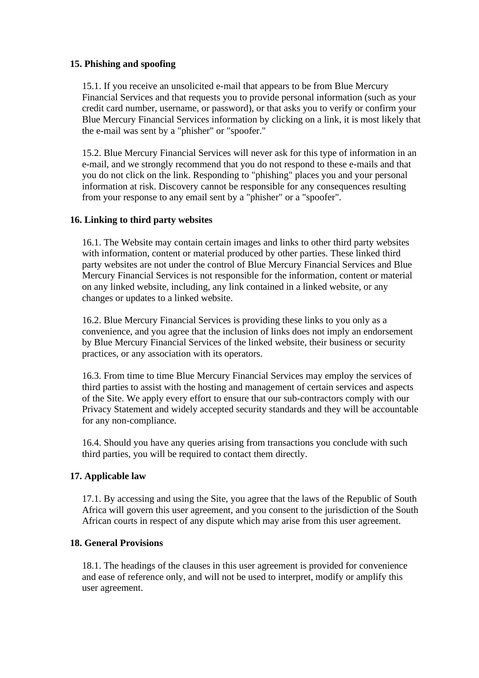## **15. Phishing and spoofing**

15.1. If you receive an unsolicited e-mail that appears to be from Blue Mercury Financial Services and that requests you to provide personal information (such as your credit card number, username, or password), or that asks you to verify or confirm your Blue Mercury Financial Services information by clicking on a link, it is most likely that the e-mail was sent by a "phisher" or "spoofer."

15.2. Blue Mercury Financial Services will never ask for this type of information in an e-mail, and we strongly recommend that you do not respond to these e-mails and that you do not click on the link. Responding to "phishing" places you and your personal information at risk. Discovery cannot be responsible for any consequences resulting from your response to any email sent by a "phisher" or a "spoofer".

## **16. Linking to third party websites**

16.1. The Website may contain certain images and links to other third party websites with information, content or material produced by other parties. These linked third party websites are not under the control of Blue Mercury Financial Services and Blue Mercury Financial Services is not responsible for the information, content or material on any linked website, including, any link contained in a linked website, or any changes or updates to a linked website.

16.2. Blue Mercury Financial Services is providing these links to you only as a convenience, and you agree that the inclusion of links does not imply an endorsement by Blue Mercury Financial Services of the linked website, their business or security practices, or any association with its operators.

16.3. From time to time Blue Mercury Financial Services may employ the services of third parties to assist with the hosting and management of certain services and aspects of the Site. We apply every effort to ensure that our sub-contractors comply with our Privacy Statement and widely accepted security standards and they will be accountable for any non-compliance.

16.4. Should you have any queries arising from transactions you conclude with such third parties, you will be required to contact them directly.

## **17. Applicable law**

17.1. By accessing and using the Site, you agree that the laws of the Republic of South Africa will govern this user agreement, and you consent to the jurisdiction of the South African courts in respect of any dispute which may arise from this user agreement.

## **18. General Provisions**

18.1. The headings of the clauses in this user agreement is provided for convenience and ease of reference only, and will not be used to interpret, modify or amplify this user agreement.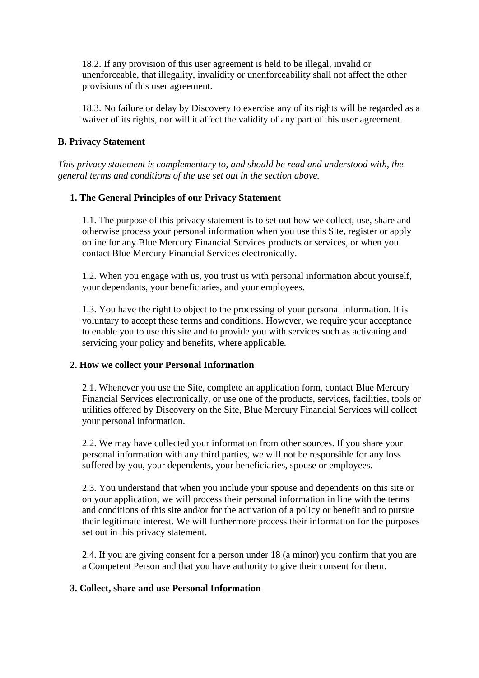18.2. If any provision of this user agreement is held to be illegal, invalid or unenforceable, that illegality, invalidity or unenforceability shall not affect the other provisions of this user agreement.

18.3. No failure or delay by Discovery to exercise any of its rights will be regarded as a waiver of its rights, nor will it affect the validity of any part of this user agreement.

## **B. Privacy Statement**

*This privacy statement is complementary to, and should be read and understood with, the general terms and conditions of the use set out in the section above.* 

## **1. The General Principles of our Privacy Statement**

1.1. The purpose of this privacy statement is to set out how we collect, use, share and otherwise process your personal information when you use this Site, register or apply online for any Blue Mercury Financial Services products or services, or when you contact Blue Mercury Financial Services electronically.

1.2. When you engage with us, you trust us with personal information about yourself, your dependants, your beneficiaries, and your employees.

1.3. You have the right to object to the processing of your personal information. It is voluntary to accept these terms and conditions. However, we require your acceptance to enable you to use this site and to provide you with services such as activating and servicing your policy and benefits, where applicable.

## **2. How we collect your Personal Information**

2.1. Whenever you use the Site, complete an application form, contact Blue Mercury Financial Services electronically, or use one of the products, services, facilities, tools or utilities offered by Discovery on the Site, Blue Mercury Financial Services will collect your personal information.

2.2. We may have collected your information from other sources. If you share your personal information with any third parties, we will not be responsible for any loss suffered by you, your dependents, your beneficiaries, spouse or employees.

2.3. You understand that when you include your spouse and dependents on this site or on your application, we will process their personal information in line with the terms and conditions of this site and/or for the activation of a policy or benefit and to pursue their legitimate interest. We will furthermore process their information for the purposes set out in this privacy statement.

2.4. If you are giving consent for a person under 18 (a minor) you confirm that you are a Competent Person and that you have authority to give their consent for them.

## **3. Collect, share and use Personal Information**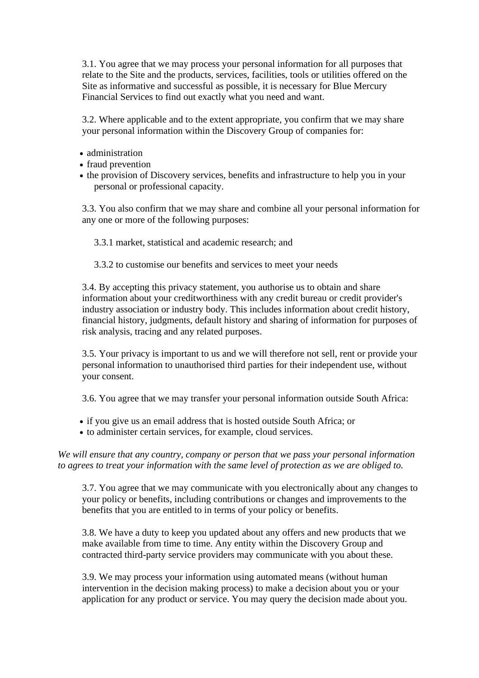3.1. You agree that we may process your personal information for all purposes that relate to the Site and the products, services, facilities, tools or utilities offered on the Site as informative and successful as possible, it is necessary for Blue Mercury Financial Services to find out exactly what you need and want.

3.2. Where applicable and to the extent appropriate, you confirm that we may share your personal information within the Discovery Group of companies for:

- administration
- fraud prevention
- the provision of Discovery services, benefits and infrastructure to help you in your personal or professional capacity.

3.3. You also confirm that we may share and combine all your personal information for any one or more of the following purposes:

3.3.1 market, statistical and academic research; and

3.3.2 to customise our benefits and services to meet your needs

3.4. By accepting this privacy statement, you authorise us to obtain and share information about your creditworthiness with any credit bureau or credit provider's industry association or industry body. This includes information about credit history, financial history, judgments, default history and sharing of information for purposes of risk analysis, tracing and any related purposes.

3.5. Your privacy is important to us and we will therefore not sell, rent or provide your personal information to unauthorised third parties for their independent use, without your consent.

3.6. You agree that we may transfer your personal information outside South Africa:

- if you give us an email address that is hosted outside South Africa; or
- to administer certain services, for example, cloud services.

*We will ensure that any country, company or person that we pass your personal information to agrees to treat your information with the same level of protection as we are obliged to.*

3.7. You agree that we may communicate with you electronically about any changes to your policy or benefits, including contributions or changes and improvements to the benefits that you are entitled to in terms of your policy or benefits.

3.8. We have a duty to keep you updated about any offers and new products that we make available from time to time. Any entity within the Discovery Group and contracted third-party service providers may communicate with you about these.

3.9. We may process your information using automated means (without human intervention in the decision making process) to make a decision about you or your application for any product or service. You may query the decision made about you.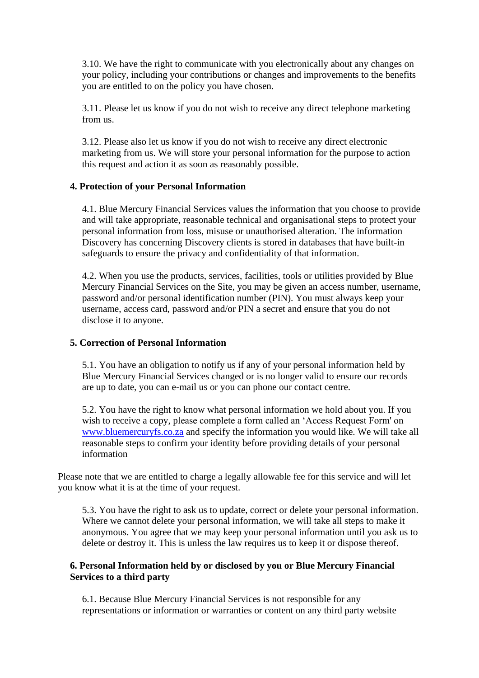3.10. We have the right to communicate with you electronically about any changes on your policy, including your contributions or changes and improvements to the benefits you are entitled to on the policy you have chosen.

3.11. Please let us know if you do not wish to receive any direct telephone marketing from us.

3.12. Please also let us know if you do not wish to receive any direct electronic marketing from us. We will store your personal information for the purpose to action this request and action it as soon as reasonably possible.

## **4. Protection of your Personal Information**

4.1. Blue Mercury Financial Services values the information that you choose to provide and will take appropriate, reasonable technical and organisational steps to protect your personal information from loss, misuse or unauthorised alteration. The information Discovery has concerning Discovery clients is stored in databases that have built-in safeguards to ensure the privacy and confidentiality of that information.

4.2. When you use the products, services, facilities, tools or utilities provided by Blue Mercury Financial Services on the Site, you may be given an access number, username, password and/or personal identification number (PIN). You must always keep your username, access card, password and/or PIN a secret and ensure that you do not disclose it to anyone.

#### **5. Correction of Personal Information**

5.1. You have an obligation to notify us if any of your personal information held by Blue Mercury Financial Services changed or is no longer valid to ensure our records are up to date, you can e-mail us or you can phone our contact centre.

5.2. You have the right to know what personal information we hold about you. If you wish to receive a copy, please complete a form called an 'Access Request Form' on [www.bluemercuryfs.co.za](http://www.bluemercuryfs.co.za/) and specify the information you would like. We will take all reasonable steps to confirm your identity before providing details of your personal information

Please note that we are entitled to charge a legally allowable fee for this service and will let you know what it is at the time of your request.

5.3. You have the right to ask us to update, correct or delete your personal information. Where we cannot delete your personal information, we will take all steps to make it anonymous. You agree that we may keep your personal information until you ask us to delete or destroy it. This is unless the law requires us to keep it or dispose thereof.

## **6. Personal Information held by or disclosed by you or Blue Mercury Financial Services to a third party**

6.1. Because Blue Mercury Financial Services is not responsible for any representations or information or warranties or content on any third party website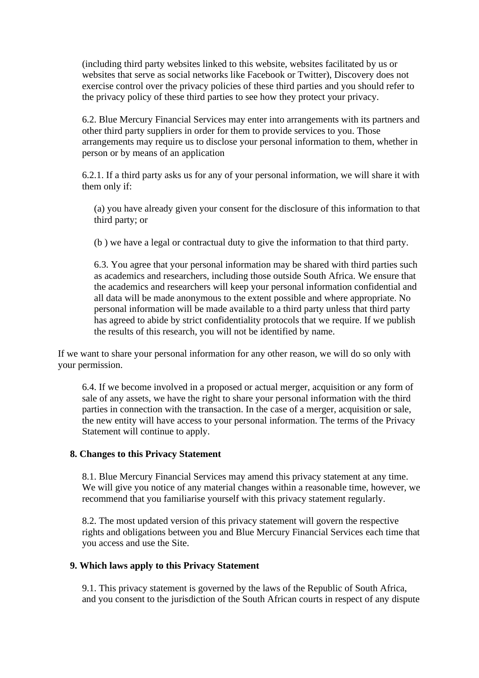(including third party websites linked to this website, websites facilitated by us or websites that serve as social networks like Facebook or Twitter), Discovery does not exercise control over the privacy policies of these third parties and you should refer to the privacy policy of these third parties to see how they protect your privacy.

6.2. Blue Mercury Financial Services may enter into arrangements with its partners and other third party suppliers in order for them to provide services to you. Those arrangements may require us to disclose your personal information to them, whether in person or by means of an application

6.2.1. If a third party asks us for any of your personal information, we will share it with them only if:

(a) you have already given your consent for the disclosure of this information to that third party; or

(b ) we have a legal or contractual duty to give the information to that third party.

6.3. You agree that your personal information may be shared with third parties such as academics and researchers, including those outside South Africa. We ensure that the academics and researchers will keep your personal information confidential and all data will be made anonymous to the extent possible and where appropriate. No personal information will be made available to a third party unless that third party has agreed to abide by strict confidentiality protocols that we require. If we publish the results of this research, you will not be identified by name.

If we want to share your personal information for any other reason, we will do so only with your permission.

6.4. If we become involved in a proposed or actual merger, acquisition or any form of sale of any assets, we have the right to share your personal information with the third parties in connection with the transaction. In the case of a merger, acquisition or sale, the new entity will have access to your personal information. The terms of the Privacy Statement will continue to apply.

#### **8. Changes to this Privacy Statement**

8.1. Blue Mercury Financial Services may amend this privacy statement at any time. We will give you notice of any material changes within a reasonable time, however, we recommend that you familiarise yourself with this privacy statement regularly.

8.2. The most updated version of this privacy statement will govern the respective rights and obligations between you and Blue Mercury Financial Services each time that you access and use the Site.

#### **9. Which laws apply to this Privacy Statement**

9.1. This privacy statement is governed by the laws of the Republic of South Africa, and you consent to the jurisdiction of the South African courts in respect of any dispute